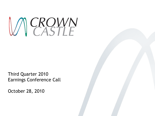

Third Quarter 2010 Earnings Conference Call

October 28, 2010

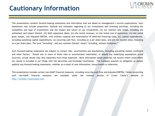#### **Cautionary Information**



This presentation contains forward-looking statements and information that are based on management's current expectations. Such statements may include projections, Outlook and estimates regarding (i) our investments and investing activities, including the availability and type of investments and the impact and return on our investments, (ii) our interest rate swaps, including the settlement and impact thereof, (iii) debt repayment dates, (iv) site rental revenues, (v) site rental cost of operations, (vi) site rental gross margin, (vii) Adjusted EBITDA, (viii) interest expense and amortization of deferred financing costs, (ix) capital expenditures, including sustaining capital expenditures, (x) recurring cash flow, including on a per share basis, and (xi) net income (loss), including on a per share basis. The term "including", and any variation thereof, means "including, without limitation."

Such forward-looking statements are subject to certain risks, uncertainties and assumptions, including prevailing market conditions and other factors. Should one or more of these risks or uncertainties materialize, or should any underlying assumptions prove incorrect, actual results may vary materially from those expected. More information about potential risk factors which could affect our results is included in our filings with the Securities and Exchange Commission. The Company assumes no obligation to update publicly any forward-looking statements, whether as a result of new information, future events or otherwise.

This presentation includes certain non-GAAP financial measures, including recurring cash flow and Adjusted EBITDA. Tables reconciling such non-GAAP financial measures are available under the investor section of Crown Castle's website at http://investor.crowncastle.com.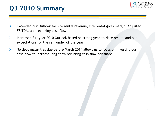

- $\triangleright$  Exceeded our Outlook for site rental revenue, site rental gross margin, Adjusted EBITDA, and recurring cash flow
- Increased full year 2010 Outlook based on strong year-to-date results and our expectations for the remainder of the year
- $\triangleright$  No debt maturities due before March 2014 allows us to focus on investing our cash flow to increase long-term recurring cash flow per share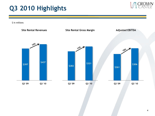

\$ in millions

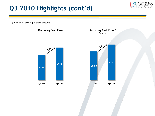# **Q3 2010 Highlights (cont'd)**

\$ in millions, except per share amounts

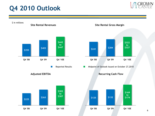# **Q4 2010 Outlook**

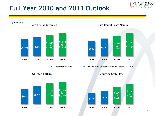## **Full Year 2010 and 2011 Outlook**

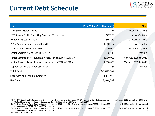### **Current Debt Schedule**

| <b>Issue</b>                                                            | Face Value (\$ in thousands) | <b>Final</b>          |
|-------------------------------------------------------------------------|------------------------------|-----------------------|
| 7.5% Senior Notes Due 2013                                              | \$51                         | December 1, 2013      |
| 2007 Crown Castle Operating Company Term Loan                           | 627,250                      | March 5, 2014         |
| 9% Senior Notes Due 2015                                                | 866,885                      | January 15, 2015      |
| 7.75% Senior Secured Notes Due 2017                                     | 1,000,407                    | May 1, 2017           |
| 7.125% Senior Notes Due 2019                                            | 500,000                      | November 1,2019       |
| Senior Secured Notes, Series 2009-1 <sup>(1)</sup>                      | 236,410                      | Various               |
| Senior Secured Tower Revenue Notes, Series 2010-1-2010-3 <sup>(2)</sup> | 1,900,000                    | Various, 2035 to 2040 |
| Senior Secured Tower Revenue Notes, Series 2010-4-2010-6 <sup>(3)</sup> | 1,550,000                    | Various, 2035 to 2040 |
| Capital Leases and Other Obligations                                    | 27,564                       | Various               |
| <b>Total Debt</b>                                                       | \$6,708,567                  |                       |
| Less: Cash and Cash Equivalents <sup>(4)</sup>                          | (303, 979)                   |                       |
| <b>Net Debt</b>                                                         | \$6,404,588                  |                       |

(1) The 2009 Securitized Notes consist of \$166.4 million of principal as of September 30, 2010 that amortizes during the period beginning January 2010 and ending in 2019, and \$70.0 million of principal that amortizes during the period beginning in 2019 and ending in 2029.0

<sup>(2)</sup> The Senior Secured Tower Revenue Notes, Series 2010-1, 2010-2, and 2010-3 have principal amounts of \$300.0 million, \$350.0 million, and \$1,250.0 million with anticipated repayment dates of 2015, 2017, and 2020, respectively

<sup>8</sup> (3) The Senior Secured Tower Revenue Notes, Series 2010-4, 2010-5, and 2010-6 have principal amounts of \$250.0 million, \$300.0 million, and \$1,000.0 million with anticipated repayment dates of 2015, 2017, and 2020, respectively

<sup>(4)</sup> Excludes restricted cash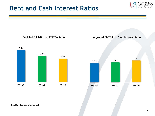





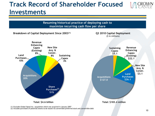# **Track Record of Shareholder Focused Investments**



(2) Includes purchases of potential shares to be issued via convertible preferred stock and convertible debt